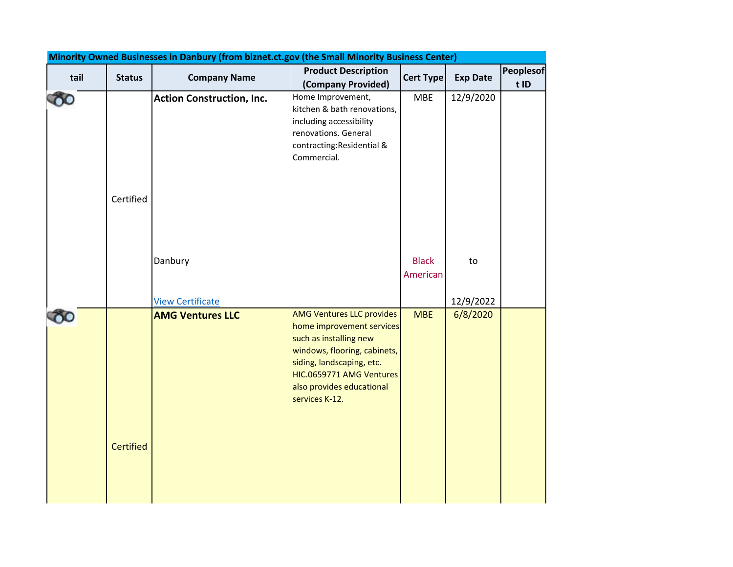| Minority Owned Businesses in Danbury (from biznet.ct.gov (the Small Minority Business Center) |                  |                                  |                                                        |                  |                 |                  |  |
|-----------------------------------------------------------------------------------------------|------------------|----------------------------------|--------------------------------------------------------|------------------|-----------------|------------------|--|
| tail                                                                                          | <b>Status</b>    | <b>Company Name</b>              | <b>Product Description</b>                             | <b>Cert Type</b> | <b>Exp Date</b> | <b>Peoplesof</b> |  |
|                                                                                               |                  |                                  | (Company Provided)                                     |                  |                 | t ID             |  |
|                                                                                               |                  | <b>Action Construction, Inc.</b> | Home Improvement,                                      | <b>MBE</b>       | 12/9/2020       |                  |  |
|                                                                                               |                  |                                  | kitchen & bath renovations,                            |                  |                 |                  |  |
|                                                                                               |                  |                                  | including accessibility<br>renovations. General        |                  |                 |                  |  |
|                                                                                               |                  |                                  | contracting: Residential &                             |                  |                 |                  |  |
|                                                                                               |                  |                                  | Commercial.                                            |                  |                 |                  |  |
|                                                                                               |                  |                                  |                                                        |                  |                 |                  |  |
|                                                                                               |                  |                                  |                                                        |                  |                 |                  |  |
|                                                                                               | Certified        |                                  |                                                        |                  |                 |                  |  |
|                                                                                               |                  |                                  |                                                        |                  |                 |                  |  |
|                                                                                               |                  |                                  |                                                        |                  |                 |                  |  |
|                                                                                               |                  |                                  |                                                        |                  |                 |                  |  |
|                                                                                               |                  | Danbury                          |                                                        | <b>Black</b>     | to              |                  |  |
|                                                                                               |                  |                                  |                                                        | American         |                 |                  |  |
|                                                                                               |                  |                                  |                                                        |                  |                 |                  |  |
|                                                                                               |                  | <b>View Certificate</b>          |                                                        |                  | 12/9/2022       |                  |  |
|                                                                                               |                  | <b>AMG Ventures LLC</b>          | <b>AMG Ventures LLC provides</b>                       | <b>MBE</b>       | 6/8/2020        |                  |  |
|                                                                                               |                  |                                  | home improvement services                              |                  |                 |                  |  |
|                                                                                               |                  |                                  | such as installing new<br>windows, flooring, cabinets, |                  |                 |                  |  |
|                                                                                               |                  |                                  | siding, landscaping, etc.                              |                  |                 |                  |  |
|                                                                                               |                  |                                  | HIC.0659771 AMG Ventures                               |                  |                 |                  |  |
|                                                                                               |                  |                                  | also provides educational                              |                  |                 |                  |  |
|                                                                                               |                  |                                  | services K-12.                                         |                  |                 |                  |  |
|                                                                                               |                  |                                  |                                                        |                  |                 |                  |  |
|                                                                                               |                  |                                  |                                                        |                  |                 |                  |  |
|                                                                                               | <b>Certified</b> |                                  |                                                        |                  |                 |                  |  |
|                                                                                               |                  |                                  |                                                        |                  |                 |                  |  |
|                                                                                               |                  |                                  |                                                        |                  |                 |                  |  |
|                                                                                               |                  |                                  |                                                        |                  |                 |                  |  |
|                                                                                               |                  |                                  |                                                        |                  |                 |                  |  |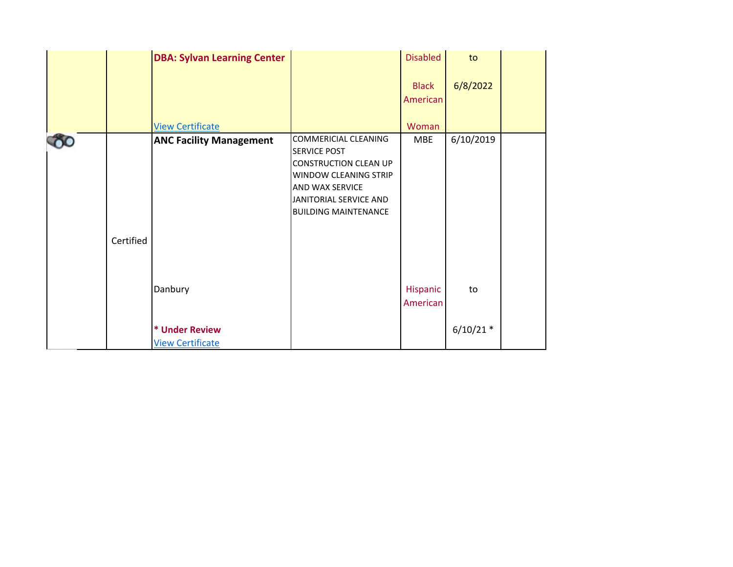|           | <b>DBA: Sylvan Learning Center</b>                   |                                                                                                                                                                                         | <b>Disabled</b>          | to                |  |
|-----------|------------------------------------------------------|-----------------------------------------------------------------------------------------------------------------------------------------------------------------------------------------|--------------------------|-------------------|--|
|           |                                                      |                                                                                                                                                                                         | <b>Black</b><br>American | 6/8/2022          |  |
|           | <b>View Certificate</b>                              |                                                                                                                                                                                         | Woman                    |                   |  |
| Certified | <b>ANC Facility Management</b>                       | <b>COMMERICIAL CLEANING</b><br><b>SERVICE POST</b><br><b>CONSTRUCTION CLEAN UP</b><br>WINDOW CLEANING STRIP<br>AND WAX SERVICE<br>JANITORIAL SERVICE AND<br><b>BUILDING MAINTENANCE</b> | <b>MBE</b>               | 6/10/2019         |  |
|           | Danbury<br>* Under Review<br><b>View Certificate</b> |                                                                                                                                                                                         | Hispanic<br>American     | to<br>$6/10/21$ * |  |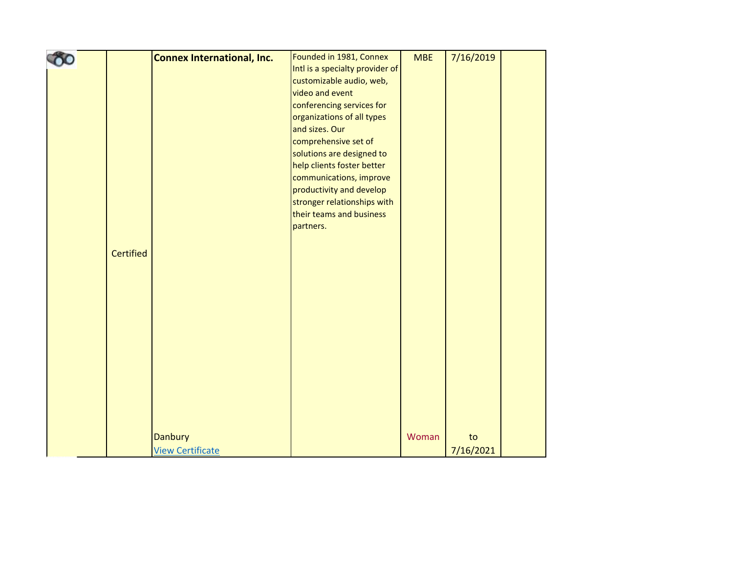|                  | <b>Connex International, Inc.</b> | Founded in 1981, Connex         | <b>MBE</b> | 7/16/2019 |  |
|------------------|-----------------------------------|---------------------------------|------------|-----------|--|
|                  |                                   | Intl is a specialty provider of |            |           |  |
|                  |                                   | customizable audio, web,        |            |           |  |
|                  |                                   | video and event                 |            |           |  |
|                  |                                   | conferencing services for       |            |           |  |
|                  |                                   | organizations of all types      |            |           |  |
|                  |                                   | and sizes. Our                  |            |           |  |
|                  |                                   | comprehensive set of            |            |           |  |
|                  |                                   | solutions are designed to       |            |           |  |
|                  |                                   | help clients foster better      |            |           |  |
|                  |                                   | communications, improve         |            |           |  |
|                  |                                   | productivity and develop        |            |           |  |
|                  |                                   | stronger relationships with     |            |           |  |
|                  |                                   | their teams and business        |            |           |  |
|                  |                                   | partners.                       |            |           |  |
|                  |                                   |                                 |            |           |  |
| <b>Certified</b> |                                   |                                 |            |           |  |
|                  |                                   |                                 |            |           |  |
|                  |                                   |                                 |            |           |  |
|                  |                                   |                                 |            |           |  |
|                  |                                   |                                 |            |           |  |
|                  |                                   |                                 |            |           |  |
|                  |                                   |                                 |            |           |  |
|                  |                                   |                                 |            |           |  |
|                  |                                   |                                 |            |           |  |
|                  |                                   |                                 |            |           |  |
|                  |                                   |                                 |            |           |  |
|                  |                                   |                                 |            |           |  |
|                  |                                   |                                 |            |           |  |
|                  |                                   |                                 |            |           |  |
|                  |                                   |                                 |            |           |  |
|                  | <b>Danbury</b>                    |                                 | Woman      | to        |  |
|                  | <b>View Certificate</b>           |                                 |            | 7/16/2021 |  |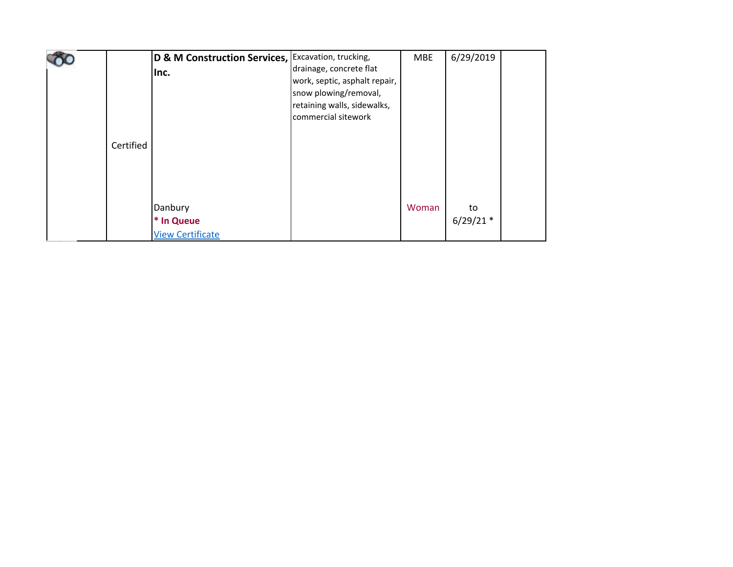| Certified | D & M Construction Services, Excavation, trucking,<br>Inc. | drainage, concrete flat<br>work, septic, asphalt repair,<br>snow plowing/removal,<br>retaining walls, sidewalks,<br>commercial sitework | <b>MBE</b> | 6/29/2019         |  |
|-----------|------------------------------------------------------------|-----------------------------------------------------------------------------------------------------------------------------------------|------------|-------------------|--|
|           | Danbury<br>* In Queue<br><b>View Certificate</b>           |                                                                                                                                         | Woman      | to<br>$6/29/21$ * |  |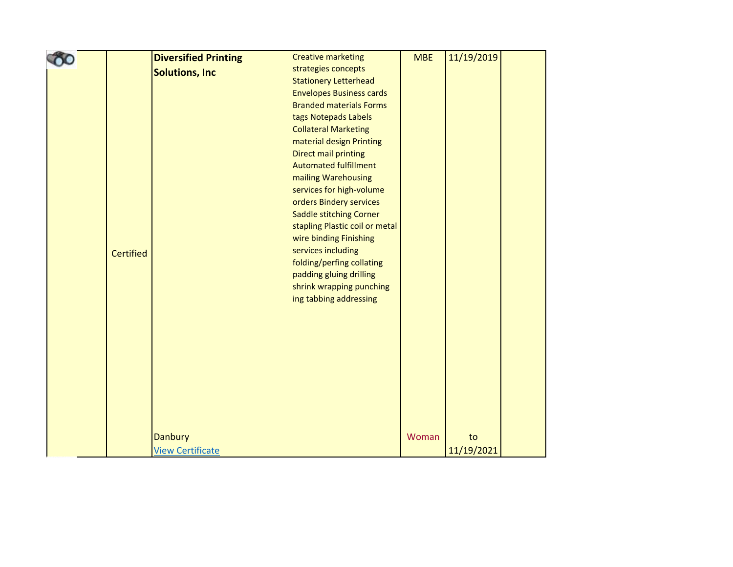|                  | <b>Diversified Printing</b> | <b>Creative marketing</b>                            | <b>MBE</b> | 11/19/2019 |  |
|------------------|-----------------------------|------------------------------------------------------|------------|------------|--|
|                  | <b>Solutions, Inc</b>       | strategies concepts                                  |            |            |  |
|                  |                             | <b>Stationery Letterhead</b>                         |            |            |  |
|                  |                             | <b>Envelopes Business cards</b>                      |            |            |  |
|                  |                             | <b>Branded materials Forms</b>                       |            |            |  |
|                  |                             | tags Notepads Labels                                 |            |            |  |
|                  |                             | <b>Collateral Marketing</b>                          |            |            |  |
|                  |                             | material design Printing                             |            |            |  |
|                  |                             | <b>Direct mail printing</b>                          |            |            |  |
|                  |                             | <b>Automated fulfillment</b>                         |            |            |  |
|                  |                             | mailing Warehousing                                  |            |            |  |
|                  |                             | services for high-volume                             |            |            |  |
|                  |                             | orders Bindery services                              |            |            |  |
|                  |                             | <b>Saddle stitching Corner</b>                       |            |            |  |
|                  |                             | stapling Plastic coil or metal                       |            |            |  |
|                  |                             | wire binding Finishing                               |            |            |  |
| <b>Certified</b> |                             | services including                                   |            |            |  |
|                  |                             | folding/perfing collating<br>padding gluing drilling |            |            |  |
|                  |                             | shrink wrapping punching                             |            |            |  |
|                  |                             | ing tabbing addressing                               |            |            |  |
|                  |                             |                                                      |            |            |  |
|                  |                             |                                                      |            |            |  |
|                  |                             |                                                      |            |            |  |
|                  |                             |                                                      |            |            |  |
|                  |                             |                                                      |            |            |  |
|                  |                             |                                                      |            |            |  |
|                  |                             |                                                      |            |            |  |
|                  |                             |                                                      |            |            |  |
|                  |                             |                                                      |            |            |  |
|                  |                             |                                                      |            |            |  |
|                  | Danbury                     |                                                      | Woman      | to         |  |
|                  |                             |                                                      |            |            |  |
|                  | <b>View Certificate</b>     |                                                      |            | 11/19/2021 |  |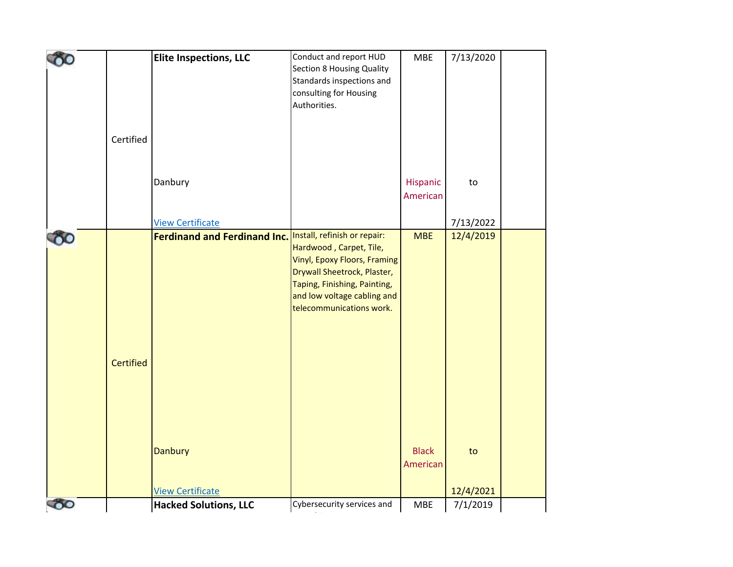|          |                  | <b>Elite Inspections, LLC</b>                             | Conduct and report HUD           | <b>MBE</b>   | 7/13/2020 |  |
|----------|------------------|-----------------------------------------------------------|----------------------------------|--------------|-----------|--|
|          |                  |                                                           | <b>Section 8 Housing Quality</b> |              |           |  |
|          |                  |                                                           | Standards inspections and        |              |           |  |
|          |                  |                                                           | consulting for Housing           |              |           |  |
|          |                  |                                                           | Authorities.                     |              |           |  |
|          |                  |                                                           |                                  |              |           |  |
|          |                  |                                                           |                                  |              |           |  |
|          | Certified        |                                                           |                                  |              |           |  |
|          |                  |                                                           |                                  |              |           |  |
|          |                  |                                                           |                                  |              |           |  |
|          |                  | Danbury                                                   |                                  | Hispanic     | to        |  |
|          |                  |                                                           |                                  | American     |           |  |
|          |                  |                                                           |                                  |              |           |  |
|          |                  | <b>View Certificate</b>                                   |                                  |              | 7/13/2022 |  |
|          |                  | Ferdinand and Ferdinand Inc. Install, refinish or repair: |                                  | <b>MBE</b>   | 12/4/2019 |  |
|          |                  |                                                           | Hardwood, Carpet, Tile,          |              |           |  |
|          |                  |                                                           | Vinyl, Epoxy Floors, Framing     |              |           |  |
|          |                  |                                                           | Drywall Sheetrock, Plaster,      |              |           |  |
|          |                  |                                                           | Taping, Finishing, Painting,     |              |           |  |
|          |                  |                                                           | and low voltage cabling and      |              |           |  |
|          |                  |                                                           | telecommunications work.         |              |           |  |
|          |                  |                                                           |                                  |              |           |  |
|          |                  |                                                           |                                  |              |           |  |
|          |                  |                                                           |                                  |              |           |  |
|          |                  |                                                           |                                  |              |           |  |
|          | <b>Certified</b> |                                                           |                                  |              |           |  |
|          |                  |                                                           |                                  |              |           |  |
|          |                  |                                                           |                                  |              |           |  |
|          |                  |                                                           |                                  |              |           |  |
|          |                  |                                                           |                                  |              |           |  |
|          |                  |                                                           |                                  |              |           |  |
|          |                  |                                                           |                                  |              |           |  |
|          |                  | <b>Danbury</b>                                            |                                  | <b>Black</b> | to        |  |
|          |                  |                                                           |                                  | American     |           |  |
|          |                  |                                                           |                                  |              |           |  |
|          |                  | <b>View Certificate</b>                                   |                                  |              | 12/4/2021 |  |
| $\infty$ |                  | <b>Hacked Solutions, LLC</b>                              | Cybersecurity services and       | MBE          | 7/1/2019  |  |
|          |                  |                                                           |                                  |              |           |  |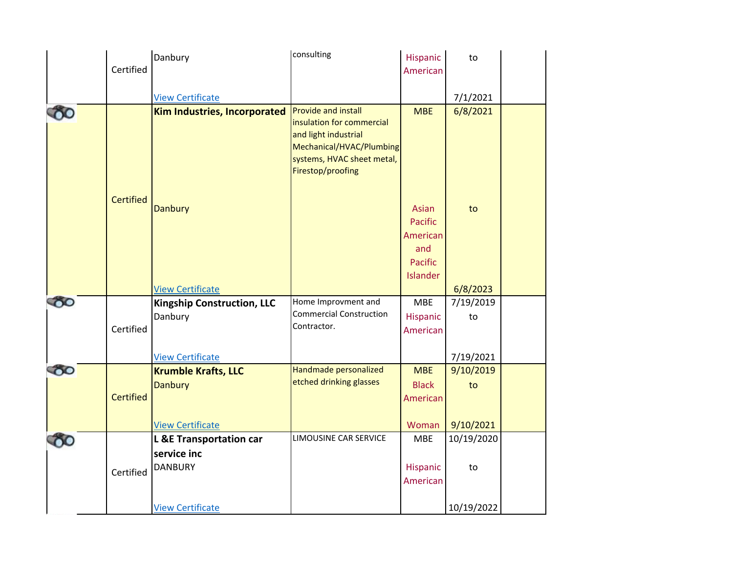|            |                  | Danbury                                                                 | consulting                                                                                                                                                     | Hispanic                                                          | to                           |  |
|------------|------------------|-------------------------------------------------------------------------|----------------------------------------------------------------------------------------------------------------------------------------------------------------|-------------------------------------------------------------------|------------------------------|--|
|            | Certified        |                                                                         |                                                                                                                                                                | American                                                          |                              |  |
|            |                  |                                                                         |                                                                                                                                                                |                                                                   |                              |  |
|            |                  | <b>View Certificate</b>                                                 |                                                                                                                                                                |                                                                   | 7/1/2021                     |  |
| 00         |                  | <b>Kim Industries, Incorporated</b>                                     | <b>Provide and install</b><br>insulation for commercial<br>and light industrial<br>Mechanical/HVAC/Plumbing<br>systems, HVAC sheet metal,<br>Firestop/proofing | <b>MBE</b>                                                        | 6/8/2021                     |  |
|            | <b>Certified</b> | <b>Danbury</b><br><b>View Certificate</b>                               |                                                                                                                                                                | Asian<br>Pacific<br>American<br>and<br><b>Pacific</b><br>Islander | to<br>6/8/2023               |  |
| $\delta$ o | Certified        | <b>Kingship Construction, LLC</b><br>Danbury                            | Home Improvment and<br><b>Commercial Construction</b><br>Contractor.                                                                                           | <b>MBE</b><br>Hispanic<br>American                                | 7/19/2019<br>to              |  |
|            |                  | <b>View Certificate</b>                                                 |                                                                                                                                                                |                                                                   | 7/19/2021                    |  |
| $\infty$   | <b>Certified</b> | <b>Krumble Krafts, LLC</b><br><b>Danbury</b><br><b>View Certificate</b> | Handmade personalized<br>etched drinking glasses                                                                                                               | <b>MBE</b><br><b>Black</b><br>American<br>Woman                   | 9/10/2019<br>to<br>9/10/2021 |  |
|            |                  | <b>L &amp;E Transportation car</b>                                      | LIMOUSINE CAR SERVICE                                                                                                                                          | <b>MBE</b>                                                        | 10/19/2020                   |  |
|            | Certified        | service inc<br><b>DANBURY</b>                                           |                                                                                                                                                                | Hispanic<br>American                                              | to                           |  |
|            |                  | <b>View Certificate</b>                                                 |                                                                                                                                                                |                                                                   | 10/19/2022                   |  |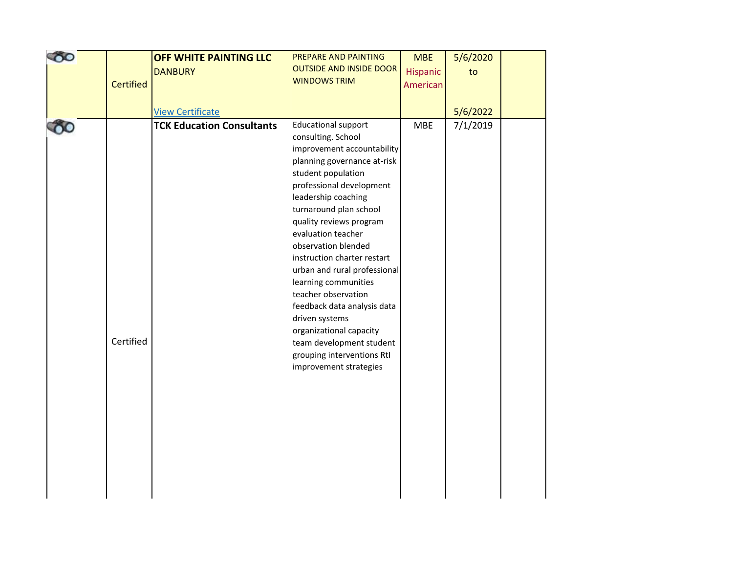| 80 |                  | OFF WHITE PAINTING LLC           | PREPARE AND PAINTING                          | <b>MBE</b> | 5/6/2020 |  |
|----|------------------|----------------------------------|-----------------------------------------------|------------|----------|--|
|    |                  | <b>DANBURY</b>                   | <b>OUTSIDE AND INSIDE DOOR</b>                | Hispanic   | to       |  |
|    | <b>Certified</b> |                                  | <b>WINDOWS TRIM</b>                           | American   |          |  |
|    |                  |                                  |                                               |            |          |  |
|    |                  | <b>View Certificate</b>          |                                               |            | 5/6/2022 |  |
|    |                  | <b>TCK Education Consultants</b> | <b>Educational support</b>                    | <b>MBE</b> | 7/1/2019 |  |
|    |                  |                                  | consulting. School                            |            |          |  |
|    |                  |                                  | improvement accountability                    |            |          |  |
|    |                  |                                  | planning governance at-risk                   |            |          |  |
|    |                  |                                  | student population                            |            |          |  |
|    |                  |                                  | professional development                      |            |          |  |
|    |                  |                                  | leadership coaching                           |            |          |  |
|    |                  |                                  | turnaround plan school                        |            |          |  |
|    |                  |                                  | quality reviews program                       |            |          |  |
|    |                  |                                  | evaluation teacher                            |            |          |  |
|    |                  |                                  | observation blended                           |            |          |  |
|    |                  |                                  | instruction charter restart                   |            |          |  |
|    |                  |                                  | urban and rural professional                  |            |          |  |
|    |                  |                                  | learning communities                          |            |          |  |
|    |                  |                                  | teacher observation                           |            |          |  |
|    |                  |                                  | feedback data analysis data<br>driven systems |            |          |  |
|    |                  |                                  | organizational capacity                       |            |          |  |
|    | Certified        |                                  | team development student                      |            |          |  |
|    |                  |                                  | grouping interventions RtI                    |            |          |  |
|    |                  |                                  | improvement strategies                        |            |          |  |
|    |                  |                                  |                                               |            |          |  |
|    |                  |                                  |                                               |            |          |  |
|    |                  |                                  |                                               |            |          |  |
|    |                  |                                  |                                               |            |          |  |
|    |                  |                                  |                                               |            |          |  |
|    |                  |                                  |                                               |            |          |  |
|    |                  |                                  |                                               |            |          |  |
|    |                  |                                  |                                               |            |          |  |
|    |                  |                                  |                                               |            |          |  |
|    |                  |                                  |                                               |            |          |  |
|    |                  |                                  |                                               |            |          |  |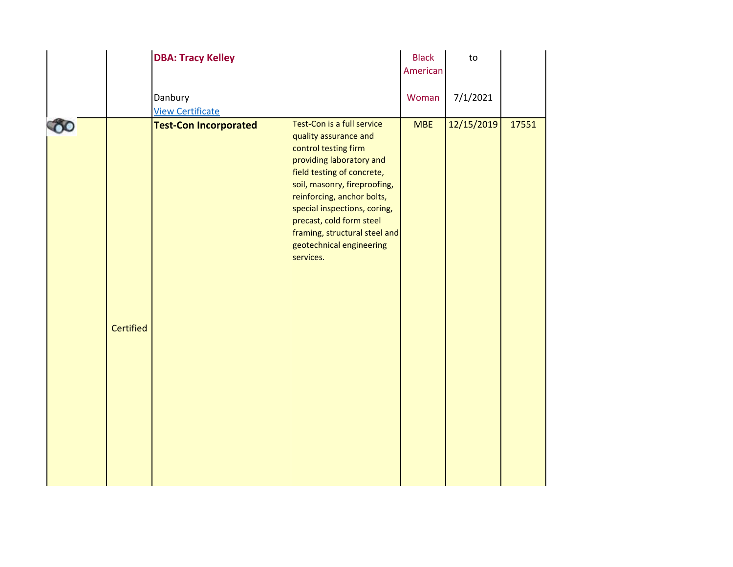|                  | <b>DBA: Tracy Kelley</b>           |                                                                                                                                                                                                                                                                                                                                           | <b>Black</b><br>American | to         |       |
|------------------|------------------------------------|-------------------------------------------------------------------------------------------------------------------------------------------------------------------------------------------------------------------------------------------------------------------------------------------------------------------------------------------|--------------------------|------------|-------|
|                  | Danbury<br><b>View Certificate</b> |                                                                                                                                                                                                                                                                                                                                           | Woman                    | 7/1/2021   |       |
| <b>Certified</b> | <b>Test-Con Incorporated</b>       | Test-Con is a full service<br>quality assurance and<br>control testing firm<br>providing laboratory and<br>field testing of concrete,<br>soil, masonry, fireproofing,<br>reinforcing, anchor bolts,<br>special inspections, coring,<br>precast, cold form steel<br>framing, structural steel and<br>geotechnical engineering<br>services. | <b>MBE</b>               | 12/15/2019 | 17551 |